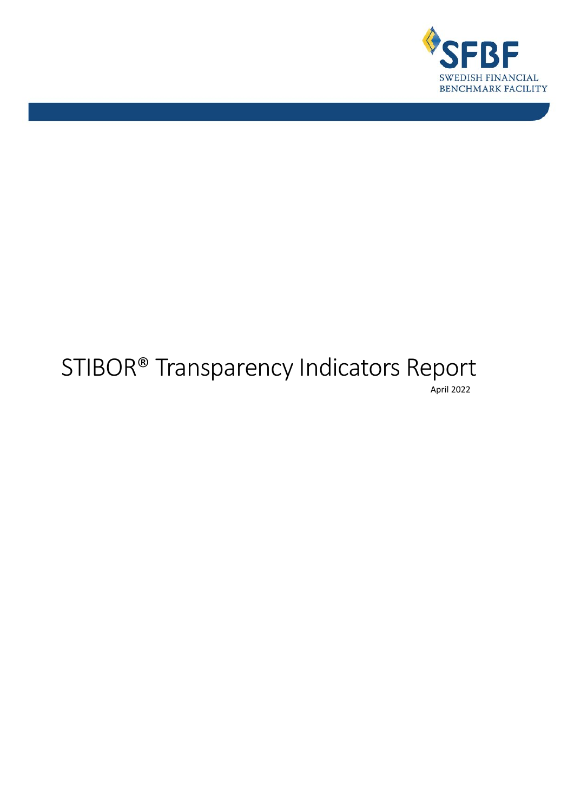

# STIBOR® Transparency Indicators Report April 2022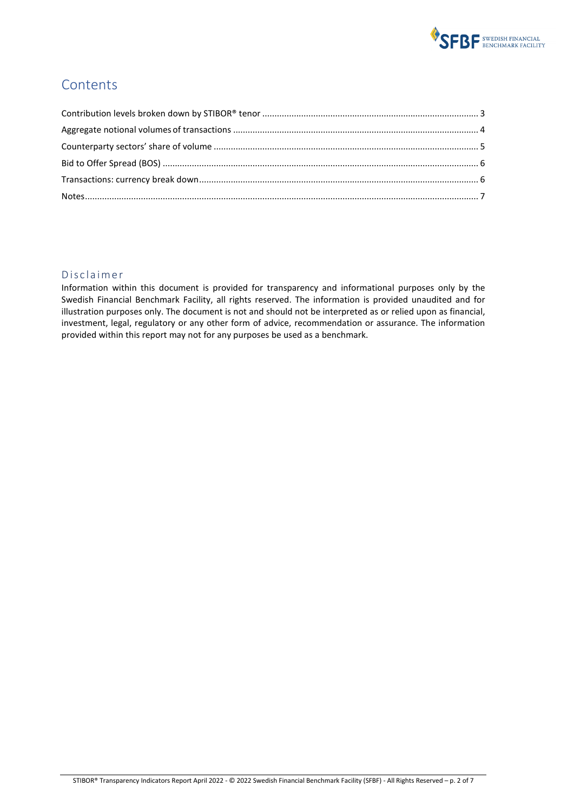

#### **Contents**

#### Disclaimer

Information within this document is provided for transparency and informational purposes only by the Swedish Financial Benchmark Facility, all rights reserved. The information is provided unaudited and for illustration purposes only. The document is not and should not be interpreted as or relied upon as financial, investment, legal, regulatory or any other form of advice, recommendation or assurance. The information provided within this report may not for any purposes be used as a benchmark.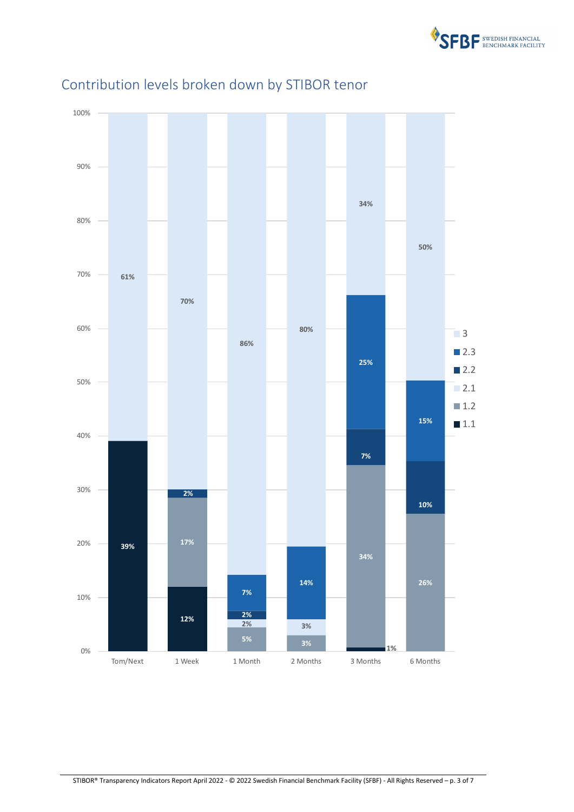

<span id="page-2-1"></span>

## <span id="page-2-0"></span>Contribution levels broken down by STIBOR tenor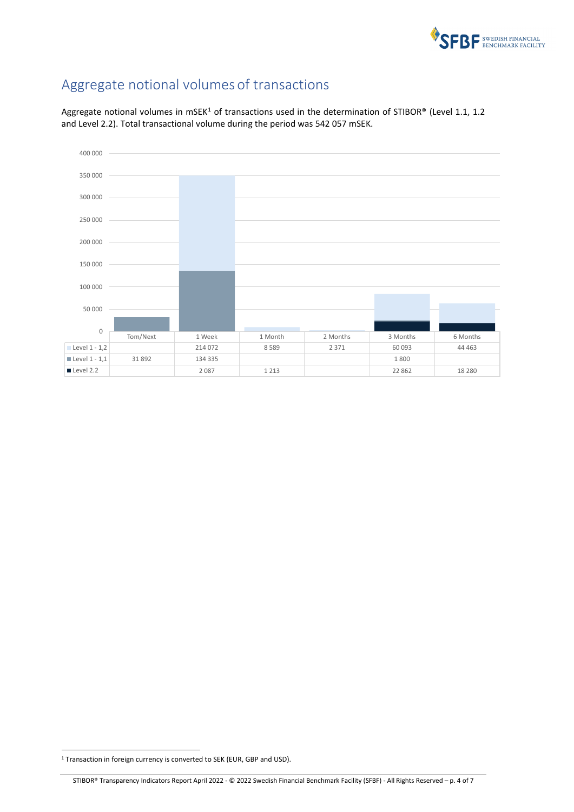

## Aggregate notional volumes of transactions

Aggregate notional volumes in mSEK<sup>[1](#page-3-0)</sup> of transactions used in the determination of STIBOR® (Level 1.1, 1.2 and Level 2.2). Total transactional volume during the period was 542 057 mSEK.



<span id="page-3-0"></span><sup>&</sup>lt;sup>1</sup> Transaction in foreign currency is converted to SEK (EUR, GBP and USD).

STIBOR® Transparency Indicators Report April 2022 - © 2022 Swedish Financial Benchmark Facility (SFBF) - All Rights Reserved – p. 4 of 7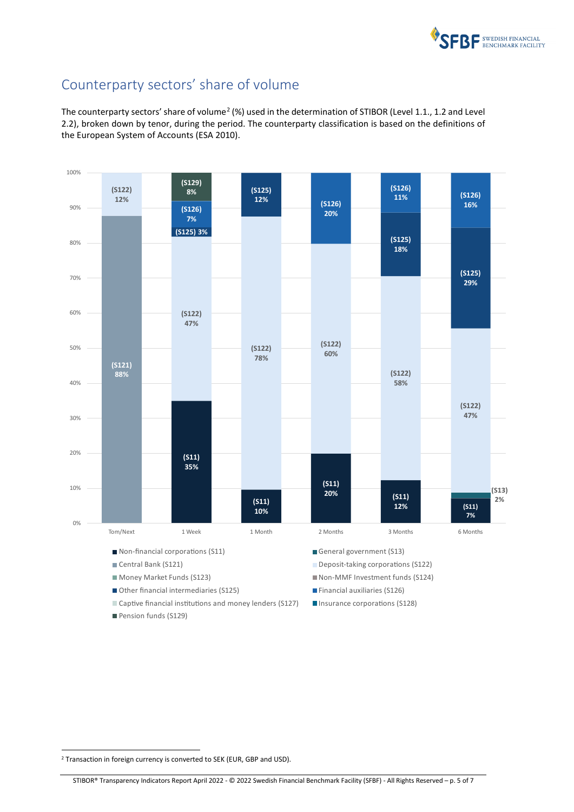

#### <span id="page-4-0"></span>Counterparty sectors' share of volume

The counterparty sectors' share of volume<sup>[2](#page-4-1)</sup> (%) used in the determination of STIBOR (Level 1.1., 1.2 and Level 2.2), broken down by tenor, during the period. The counterparty classification is based on the definitions of the European System of Accounts (ESA 2010).



- Money Market Funds (S123) Non-MMF Investment funds (S124)
- Other financial intermediaries (S125) Financial auxiliaries (S126)
- Captive financial institutions and money lenders (S127)  $\Box$  Insurance corporations (S128)
- Pension funds (S129)

<span id="page-4-1"></span><sup>&</sup>lt;sup>2</sup> Transaction in foreign currency is converted to SEK (EUR, GBP and USD).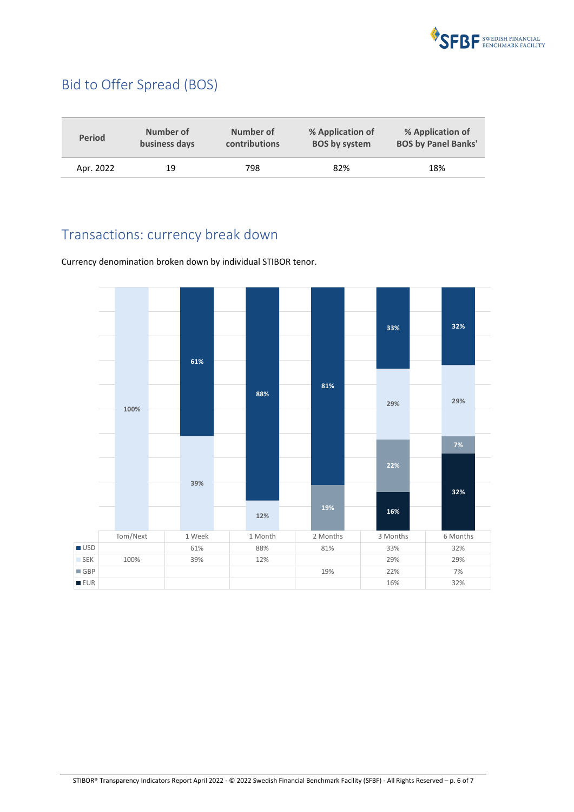

## <span id="page-5-0"></span>Bid to Offer Spread (BOS)

| <b>Period</b> | Number of     | Number of            | % Application of     | % Application of           |
|---------------|---------------|----------------------|----------------------|----------------------------|
|               | business days | <b>contributions</b> | <b>BOS by system</b> | <b>BOS by Panel Banks'</b> |
| Apr. 2022     | 19            | 798                  | 82%                  | 18%                        |

### <span id="page-5-1"></span>Transactions: currency break down

Currency denomination broken down by individual STIBOR tenor.